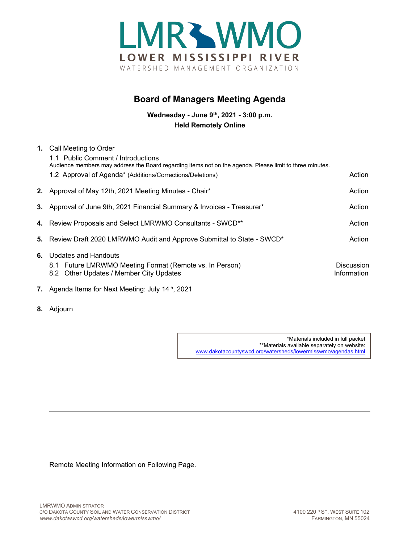

## **Board of Managers Meeting Agenda**

**Wednesday - June 9th, 2021 - 3:00 p.m. Held Remotely Online**

| 1. | Call Meeting to Order<br>1.1 Public Comment / Introductions                                                                                                           |                                  |
|----|-----------------------------------------------------------------------------------------------------------------------------------------------------------------------|----------------------------------|
|    | Audience members may address the Board regarding items not on the agenda. Please limit to three minutes.<br>1.2 Approval of Agenda* (Additions/Corrections/Deletions) | Action                           |
|    | 2. Approval of May 12th, 2021 Meeting Minutes - Chair*                                                                                                                | Action                           |
|    | 3. Approval of June 9th, 2021 Financial Summary & Invoices - Treasurer*                                                                                               | Action                           |
|    | 4. Review Proposals and Select LMRWMO Consultants - SWCD**                                                                                                            | Action                           |
|    | 5. Review Draft 2020 LMRWMO Audit and Approve Submittal to State - SWCD*                                                                                              | Action                           |
| 6. | Updates and Handouts<br>8.1 Future LMRWMO Meeting Format (Remote vs. In Person)<br>8.2 Other Updates / Member City Updates                                            | <b>Discussion</b><br>Information |

- **7.** Agenda Items for Next Meeting: July 14<sup>th</sup>, 2021
- **8.** Adjourn

\*Materials included in full packet \*\*Materials available separately on website: [www.dakotacountyswcd.org/watersheds/lowermisswmo/agendas.html](http://www.dakotacountyswcd.org/watersheds/lowermisswmo/agendas.html)

Remote Meeting Information on Following Page.